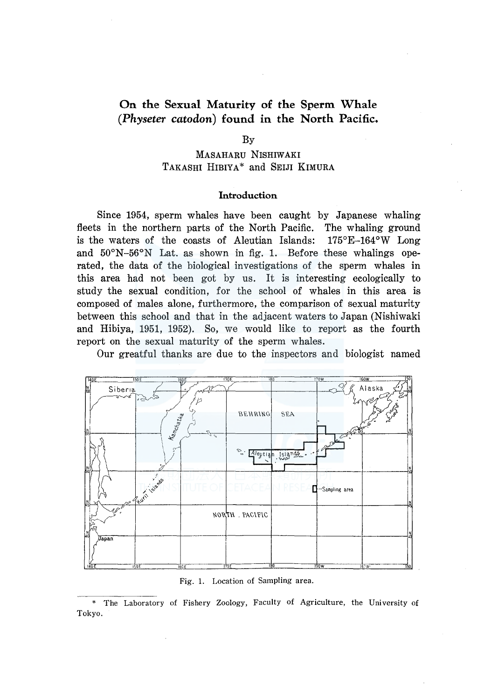# **On the Sexual Maturity of the Sperm Whale**  *(Physeter catodon)* **found in the North Pacific.**

By

## MASAHARU NISHIWAKI TAKASHI HIBIYA\* and SELJI KIMURA

## **Introduction**

Since 1954, sperm whales have been caught by Japanese whaling fleets in the northern parts of the North Pacific. The whaling ground is the waters of the coasts of Aleutian Islands: 175°E-164°W Long and  $50^{\circ}$ N-56°N Lat. as shown in fig. 1. Before these whalings operated, the data of the biological investigations of the sperm whales in this area had not been got by us. It is interesting ecologically to study the sexual condition, for the school of whales in this area is composed of males alone, furthermore, the comparison of sexual maturity between this school and that in the adjacent waters to Japan (Nishiwaki and Hibiya, 1951, 1952). So, we would like to report as the fourth report on the sexual maturity of the sperm whales.

Our greatful thanks are due to the inspectors and biologist named



Fig. 1. Location of Sampling area.

<sup>\*</sup> The Laboratory of Fishery Zoology, Faculty of Agriculture, the University of Tokyo.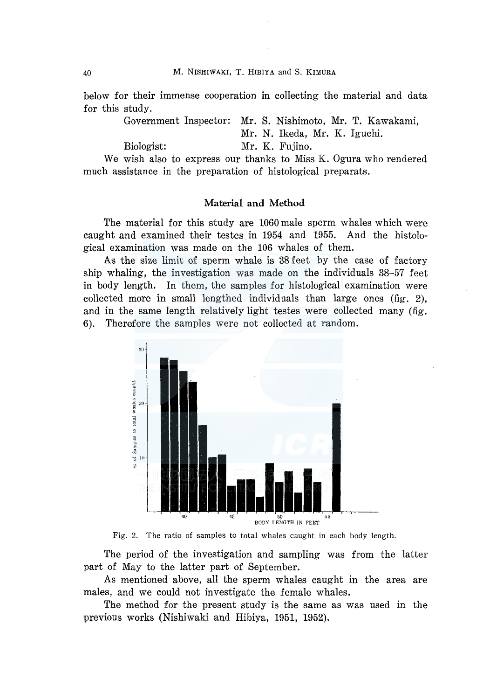below for their immense cooperation in collecting the material and data for this study.

Government Inspector: Mr. S. Nishimoto, Mr. T. Kawakami,

Mr. N. Ikeda, Mr. K. Iguchi.

Biologist: Mr. K. Fujino.

We wish also to express our thanks to Miss K. Ogura who rendered much assistance in the preparation of histological preparats.

#### Material and Method

The material for this study are 1060 male sperm whales which were caught and examined their testes in 1954 and 1955. And the histological examination was made on the 106 whales of them.

As the size limit of sperm whale is 38 feet by the case of factory ship whaling, the investigation was made on the individuals 38-57 feet in body length. In them, the samples for histological examination were collected more in small lengthed individuals than large ones (fig. 2), and in the same length relatively light testes were collected many (fig. 6). Therefore the samples were not collected at random.



Fig. 2. The ratio of samples to total whales caught in each body length.

The period of the investigation and sampling was from the latter part of May to the latter part of September.

As mentioned above, all the sperm whales caught in the area are males, and we could not investigate the female whales.

The method for the present study is the same as was used in the previous works (Nishiwaki and Hibiya, 1951, 1952).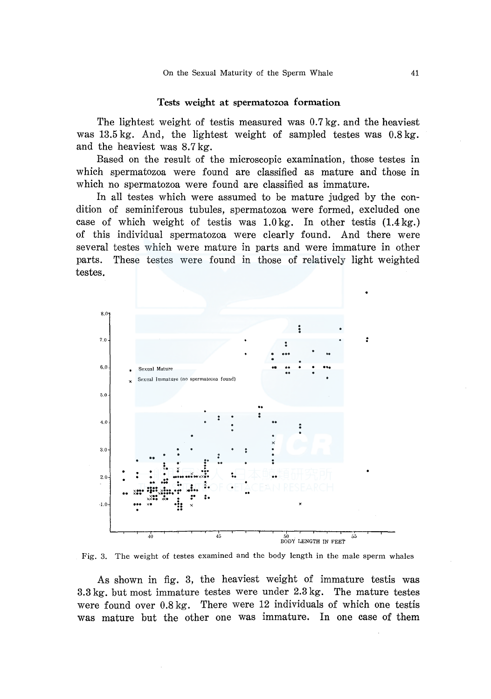#### Tests weight at spermatozoa formation

The lightest weight of testis measured was 0.7kg. and the heaviest was 13.5 kg. And, the lightest weight of sampled testes was 0.8 kg. and the heaviest was 8.7kg.

Based on the result of the microscopic examination, those testes in which spermatozoa were found are classified as mature and those in which no spermatozoa were found are classified as immature.

In all testes which were assumed to be mature judged by the condition of seminiferous tubules, spermatozoa were formed, excluded one case of which weight of testis was 1.0kg. In other testis (1.4kg.) of this individual spermatozoa were clearly found. And there were several testes which were mature in parts and were immature in other parts. These testes were found in those of relatively light weighted testes.





As shown in fig. 3, the heaviest weight of immature testis was 3.3 kg. but most immature testes were under 2.3 kg. The mature testes were found over 0.8 kg. There were 12 individuals of which one testis was mature but the other one was immature. In one case of them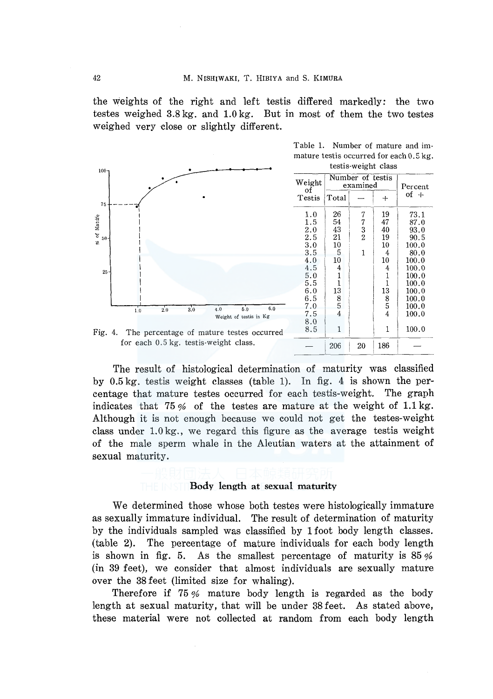the weights of the right and left testis differed markedly: the two testes weighed 3.8 kg. and 1.0 kg. But in most of them the two testes weighed very close or slightly different.



The result of histological determination of maturity was classified by 0.5 kg. testis weight classes (table 1). In fig. 4 is shown the percentage that mature testes occurred for each testis-weight. The graph indicates that 75 % of the testes are mature at the weight of 1.1 kg. Although it is not enough because we could not get the testes-weight class under 1.0 kg., we regard this figure as the average testis weight of the male sperm whale in the Aleutian waters at the attainment of sexual maturity.

## Body length at sexual maturity

We determined those whose both testes were histologically immature as sexually immature individual. The result of determination of maturity by the individuals sampled was classified by 1 foot body length classes. (table 2). The percentage of mature individuals for each body length is shown in fig. 5. As the smallest percentage of maturity is 85 % (in 39 feet), we consider that almost individuals are sexually mature over the 38 feet (limited size for whaling).

Therefore if 75 % mature body length is regarded as the body length at sexual maturity, that will be under 38 feet. As stated above, these material were not collected at random from each body length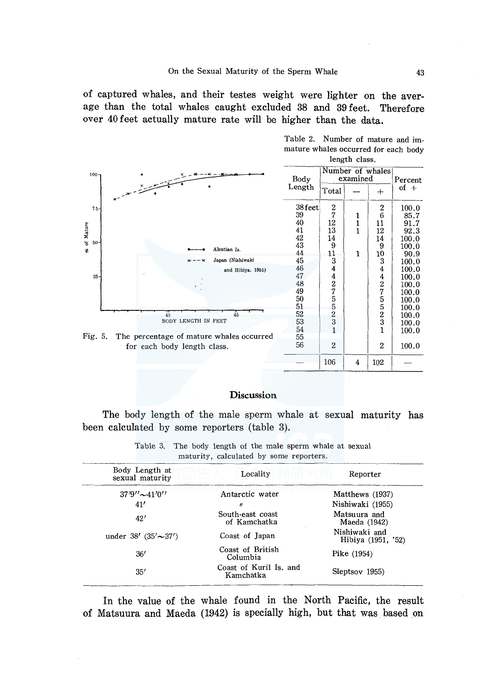of captured whales, and their testes weight were lighter on the average than the total whales caught excluded 38 and 39 feet. Therefore over 40 feet actually mature rate will be higher than the data.



## Discussion

The body length of the male sperm whale at sexual maturity has been calculated by some reporters (table 3).

| Body Length at<br>sexual maturity | Locality                            | Reporter                            |
|-----------------------------------|-------------------------------------|-------------------------------------|
| $37'9''$ $\sim$ 41'0''            | Antarctic water                     | Matthews (1937)                     |
| 41'                               | 11                                  | Nishiwaki (1955)                    |
| 42'                               | South-east coast<br>of Kamchatka    | Matsuura and<br>Maeda (1942)        |
| under $38'$ $(35' \sim 37')$      | Coast of Japan                      | Nishiwaki and<br>Hibiya (1951, '52) |
| 36'                               | Coast of British<br>Columbia        | Pike $(1954)$                       |
| 35'                               | Coast of Kuril Is, and<br>Kamchatka | Sleptsov 1955)                      |

Table 3. The body length of the male sperm whale at sexual<br>maturity, coloulated by some repeters maturity, calculated by some reporters.

In the value of the whale found in the North Pacific, the result of Matsuura and Maeda (1942) is specially high, but that was based on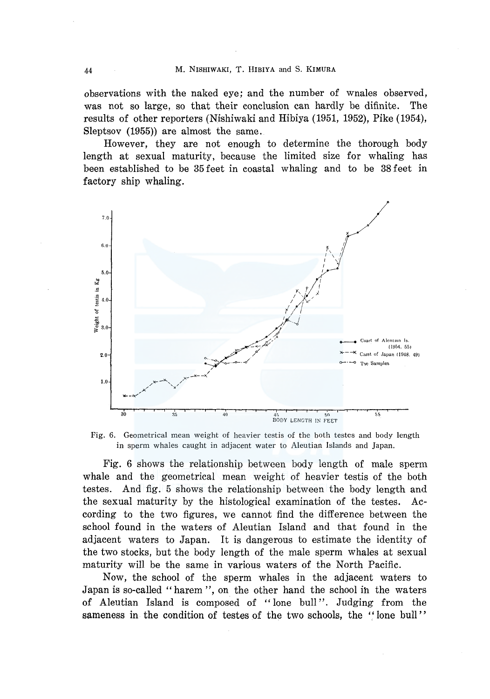observations with the naked eye; and the number of wnales observed, was not so large, so that their conclusion can hardly be difinite. The results of other reporters (Nishiwaki and Hibiya (1951, 1952), Pike (1954), Sleptsov (1955)) are almost the same.

However, they are not enough to determine the thorough body length at sexual maturity, because the limited size for whaling has been established to be 35 feet in coastal whaling and to be 38 feet in factory ship whaling.



Fig. 6. Geometrical mean weight of heavier testis of the both testes and body length in sperm whales caught in adjacent water to Aleutian Islands and Japan.

Fig. 6 shows the relationship between body length of male sperm whale and the geometrical mean weight of heavier testis of the both testes. And fig. 5 shows the relationship between the body length and the sexual maturity by the histological examination of the testes. According to the two figures, we cannot find the difference between the school found in the waters of Aleutian Island and that found in the adjacent waters to Japan. It is dangerous to estimate the identity of the two stocks, but the body length of the male sperm whales at sexual maturity will be the same in various waters of the North Pacific.

Now, the school of the sperm whales in the adjacent waters to Japan is so-called "harem'', on the other hand the school ih the waters of Aleutian Island is composed of "lone bull". Judging from the sameness in the condition of testes of the two schools, the '' lone bull ''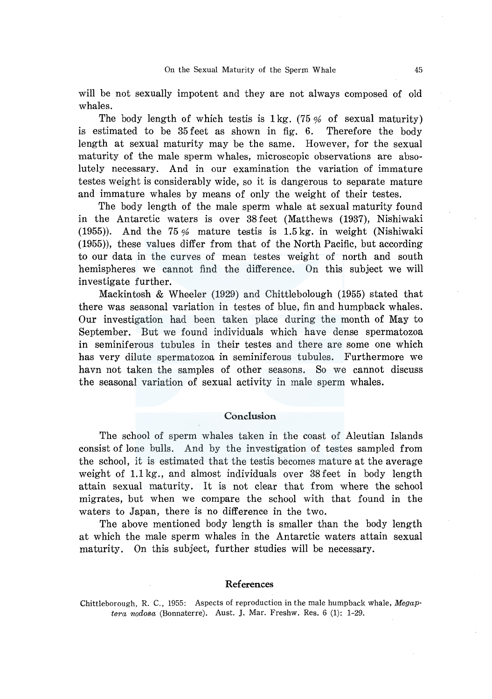will be not sexually impotent and they are not always composed of old whales.

The body length of which test is  $1 \text{ kg}$ . (75 % of sexual maturity) is estimated to be 35 feet as shown in fig. 6. Therefore the body length at sexual maturity may be the same. However, for the sexual maturity of the male sperm whales, microscopic observations are absolutely necessary. And in our examination the variation of immature testes weight is considerably wide, so it is dangerous to separate mature and immature whales by means of only the weight of their testes.

The body length of the male sperm whale at sexual maturity found in the Antarctic waters is over 38 feet (Matthews (1937), Nishiwaki (1955)). And the 75 % mature testis is 1.5 kg. in weight (Nishiwaki (1955)), these values differ from that of the North Pacific, but according to our data in the curves of mean testes weight of north and south hemispheres we cannot find the difference. On this subject we will investigate further.

Mackintosh & Wheeler (1929) and Chittlebolough (1955) stated that there was seasonal variation in testes of blue, fin and humpback whales. Our investigation had been taken place during the month of May to September. But we found individuals which have dense spermatozoa in seminiferous tubules in their testes and there are some one which has very dilute spermatozoa in seminiferous tubules. Furthermore we havn not taken the samples of other seasons. So we cannot discuss the seasonal variation of sexual activity in male sperm whales.

## Conclusion

The school of sperm whales taken in the coast of Aleutian Islands consist of lone bulls. And by the investigation of testes sampled from the school, it is estimated that the testis becomes mature at the average weight of 1.1 kg., and almost individuals over 38 feet in body length attain sexual maturity. It is not clear that from where the school migrates, but when we compare the school with that found in the waters to Japan, there is no difference in the two.

The above mentioned body length is smaller than the body length at which the male sperm whales in the Antarctic waters attain sexual maturity. On this subject, further studies will be necessary.

## References

Chittleborough, R. C., 1955: Aspects of reproduction in the male humpback whale, Megap*tera nodosa* (Bonnaterre). Aust. J. Mar. Freshw. Res. 6 (1): 1-29.